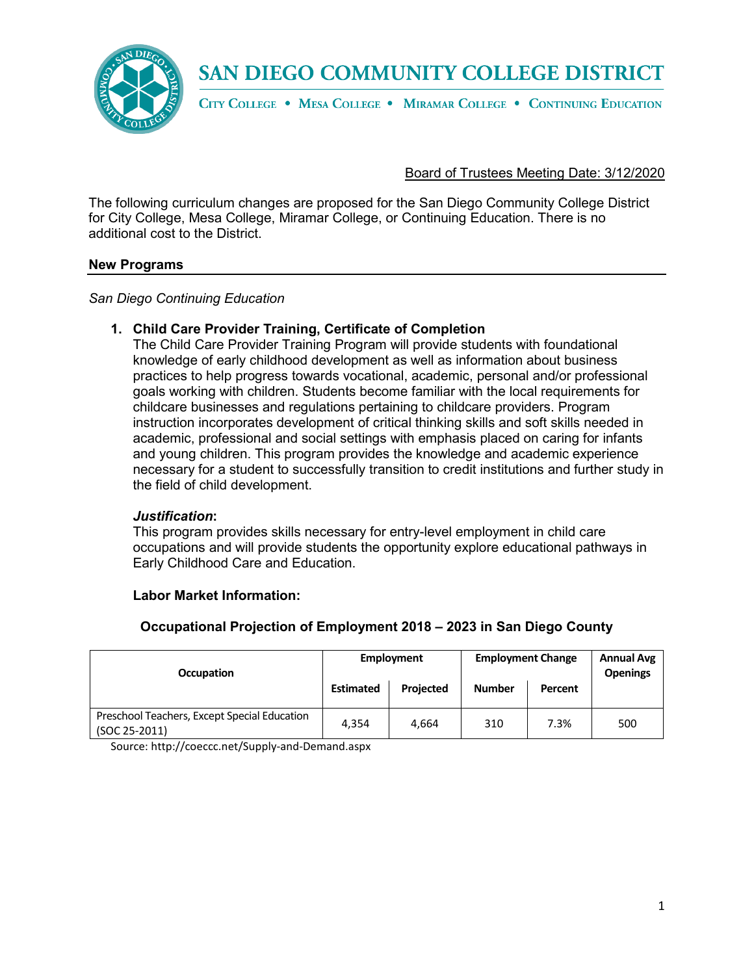

CITY COLLEGE . MESA COLLEGE . MIRAMAR COLLEGE . CONTINUING EDUCATION

#### Board of Trustees Meeting Date: 3/12/2020

The following curriculum changes are proposed for the San Diego Community College District for City College, Mesa College, Miramar College, or Continuing Education. There is no additional cost to the District.

#### **New Programs**

*San Diego Continuing Education*

## **1. Child Care Provider Training, Certificate of Completion**

The Child Care Provider Training Program will provide students with foundational knowledge of early childhood development as well as information about business practices to help progress towards vocational, academic, personal and/or professional goals working with children. Students become familiar with the local requirements for childcare businesses and regulations pertaining to childcare providers. Program instruction incorporates development of critical thinking skills and soft skills needed in academic, professional and social settings with emphasis placed on caring for infants and young children. This program provides the knowledge and academic experience necessary for a student to successfully transition to credit institutions and further study in the field of child development.

#### *Justification***:**

This program provides skills necessary for entry-level employment in child care occupations and will provide students the opportunity explore educational pathways in Early Childhood Care and Education.

#### **Labor Market Information:**

## **Occupational Projection of Employment 2018 – 2023 in San Diego County**

| <b>Occupation</b>                                             | <b>Employment</b> |                  | <b>Employment Change</b> |      | <b>Annual Avg</b><br><b>Openings</b> |
|---------------------------------------------------------------|-------------------|------------------|--------------------------|------|--------------------------------------|
|                                                               | <b>Estimated</b>  | <b>Projected</b> | <b>Number</b><br>Percent |      |                                      |
| Preschool Teachers, Except Special Education<br>(SOC 25-2011) | 4.354             | 4.664            | 310                      | 7.3% | 500                                  |

Source[: http://coeccc.net/Supply-and-Demand.aspx](http://coeccc.net/Supply-and-Demand.aspx)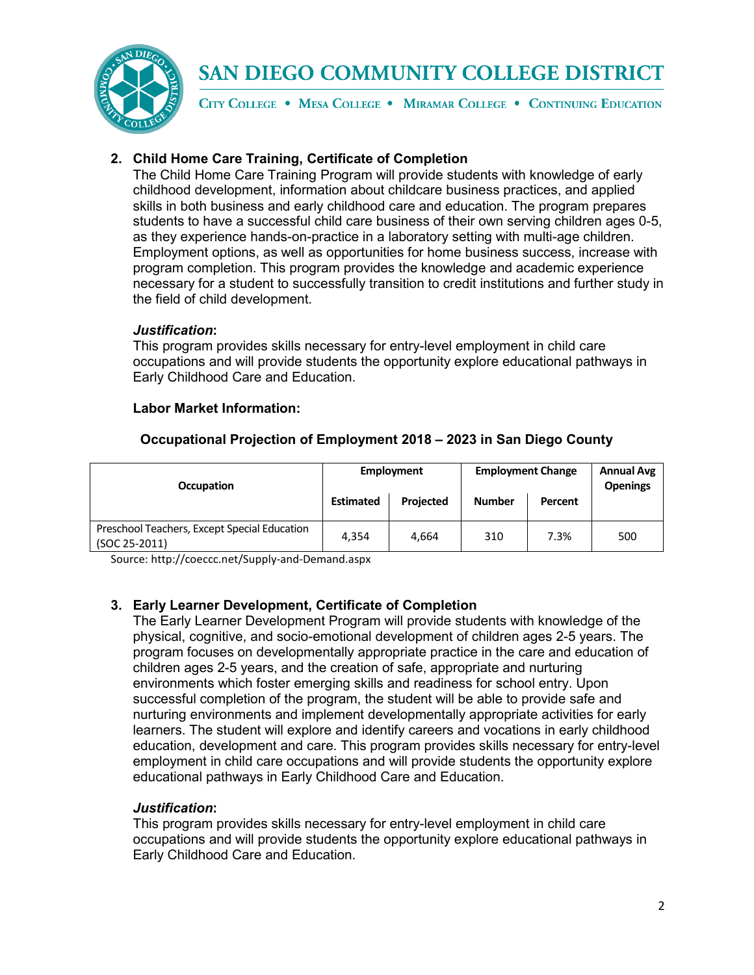

CITY COLLEGE . MESA COLLEGE . MIRAMAR COLLEGE . CONTINUING EDUCATION

## **2. Child Home Care Training, Certificate of Completion**

The Child Home Care Training Program will provide students with knowledge of early childhood development, information about childcare business practices, and applied skills in both business and early childhood care and education. The program prepares students to have a successful child care business of their own serving children ages 0-5, as they experience hands-on-practice in a laboratory setting with multi-age children. Employment options, as well as opportunities for home business success, increase with program completion. This program provides the knowledge and academic experience necessary for a student to successfully transition to credit institutions and further study in the field of child development.

## *Justification***:**

This program provides skills necessary for entry-level employment in child care occupations and will provide students the opportunity explore educational pathways in Early Childhood Care and Education.

## **Labor Market Information:**

| <b>Occupation</b>                                             |                  | Employment       | <b>Employment Change</b> |         | <b>Annual Avg</b><br><b>Openings</b> |
|---------------------------------------------------------------|------------------|------------------|--------------------------|---------|--------------------------------------|
|                                                               | <b>Estimated</b> | <b>Projected</b> | <b>Number</b>            | Percent |                                      |
| Preschool Teachers, Except Special Education<br>(SOC 25-2011) | 4.354            | 4.664            | 310                      | 7.3%    | 500                                  |

## **Occupational Projection of Employment 2018 – 2023 in San Diego County**

Source[: http://coeccc.net/Supply-and-Demand.aspx](http://coeccc.net/Supply-and-Demand.aspx)

## **3. Early Learner Development, Certificate of Completion**

The Early Learner Development Program will provide students with knowledge of the physical, cognitive, and socio-emotional development of children ages 2-5 years. The program focuses on developmentally appropriate practice in the care and education of children ages 2-5 years, and the creation of safe, appropriate and nurturing environments which foster emerging skills and readiness for school entry. Upon successful completion of the program, the student will be able to provide safe and nurturing environments and implement developmentally appropriate activities for early learners. The student will explore and identify careers and vocations in early childhood education, development and care. This program provides skills necessary for entry-level employment in child care occupations and will provide students the opportunity explore educational pathways in Early Childhood Care and Education.

## *Justification***:**

This program provides skills necessary for entry-level employment in child care occupations and will provide students the opportunity explore educational pathways in Early Childhood Care and Education.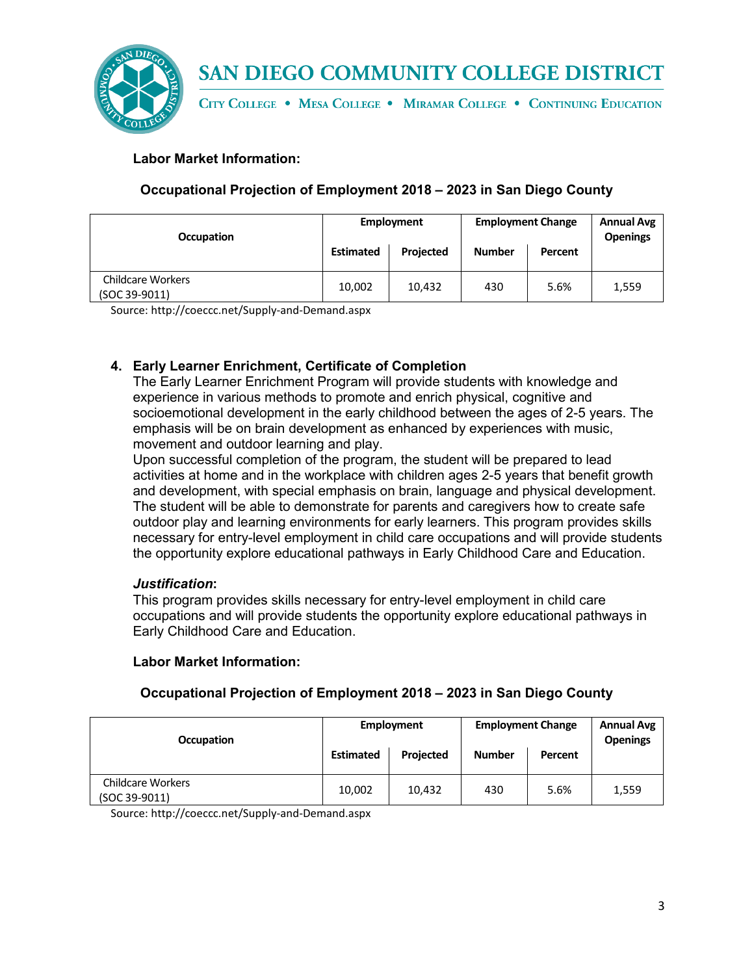

CITY COLLEGE . MESA COLLEGE . MIRAMAR COLLEGE . CONTINUING EDUCATION

## **Labor Market Information:**

## **Occupational Projection of Employment 2018 – 2023 in San Diego County**

| <b>Occupation</b>                         |                  | <b>Employment</b> | <b>Employment Change</b> |         | <b>Annual Avg</b><br><b>Openings</b> |
|-------------------------------------------|------------------|-------------------|--------------------------|---------|--------------------------------------|
|                                           | <b>Estimated</b> | Projected         | <b>Number</b>            | Percent |                                      |
| <b>Childcare Workers</b><br>(SOC 39-9011) | 10,002           | 10,432            | 430                      | 5.6%    | 1,559                                |

Source[: http://coeccc.net/Supply-and-Demand.aspx](http://coeccc.net/Supply-and-Demand.aspx)

## **4. Early Learner Enrichment, Certificate of Completion**

The Early Learner Enrichment Program will provide students with knowledge and experience in various methods to promote and enrich physical, cognitive and socioemotional development in the early childhood between the ages of 2-5 years. The emphasis will be on brain development as enhanced by experiences with music, movement and outdoor learning and play.

Upon successful completion of the program, the student will be prepared to lead activities at home and in the workplace with children ages 2-5 years that benefit growth and development, with special emphasis on brain, language and physical development. The student will be able to demonstrate for parents and caregivers how to create safe outdoor play and learning environments for early learners. This program provides skills necessary for entry-level employment in child care occupations and will provide students the opportunity explore educational pathways in Early Childhood Care and Education.

## *Justification***:**

This program provides skills necessary for entry-level employment in child care occupations and will provide students the opportunity explore educational pathways in Early Childhood Care and Education.

## **Labor Market Information:**

## **Occupational Projection of Employment 2018 – 2023 in San Diego County**

| <b>Occupation</b>                         | Employment<br><b>Employment Change</b><br><b>Estimated</b><br><b>Projected</b><br><b>Number</b><br>Percent |        |     |      | <b>Annual Avg</b><br><b>Openings</b> |
|-------------------------------------------|------------------------------------------------------------------------------------------------------------|--------|-----|------|--------------------------------------|
|                                           |                                                                                                            |        |     |      |                                      |
| <b>Childcare Workers</b><br>(SOC 39-9011) | 10,002                                                                                                     | 10,432 | 430 | 5.6% | 1,559                                |

Source[: http://coeccc.net/Supply-and-Demand.aspx](http://coeccc.net/Supply-and-Demand.aspx)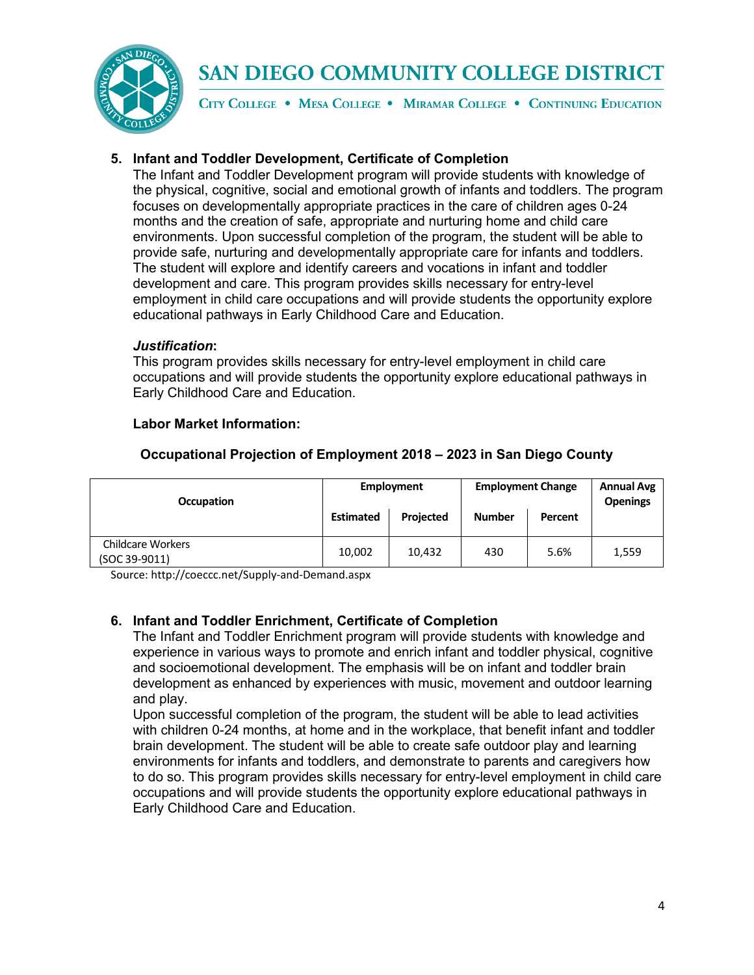

CITY COLLEGE . MESA COLLEGE . MIRAMAR COLLEGE . CONTINUING EDUCATION

## **5. Infant and Toddler Development, Certificate of Completion**

The Infant and Toddler Development program will provide students with knowledge of the physical, cognitive, social and emotional growth of infants and toddlers. The program focuses on developmentally appropriate practices in the care of children ages 0-24 months and the creation of safe, appropriate and nurturing home and child care environments. Upon successful completion of the program, the student will be able to provide safe, nurturing and developmentally appropriate care for infants and toddlers. The student will explore and identify careers and vocations in infant and toddler development and care. This program provides skills necessary for entry-level employment in child care occupations and will provide students the opportunity explore educational pathways in Early Childhood Care and Education.

## *Justification***:**

This program provides skills necessary for entry-level employment in child care occupations and will provide students the opportunity explore educational pathways in Early Childhood Care and Education.

## **Labor Market Information:**

| <b>Occupation</b>                         |                  | Employment | <b>Employment Change</b> |         | <b>Annual Avg</b><br><b>Openings</b> |
|-------------------------------------------|------------------|------------|--------------------------|---------|--------------------------------------|
|                                           | <b>Estimated</b> | Projected  | <b>Number</b>            | Percent |                                      |
| <b>Childcare Workers</b><br>(SOC 39-9011) | 10,002           | 10,432     | 430                      | 5.6%    | 1,559                                |

## **Occupational Projection of Employment 2018 – 2023 in San Diego County**

Source[: http://coeccc.net/Supply-and-Demand.aspx](http://coeccc.net/Supply-and-Demand.aspx)

## **6. Infant and Toddler Enrichment, Certificate of Completion**

The Infant and Toddler Enrichment program will provide students with knowledge and experience in various ways to promote and enrich infant and toddler physical, cognitive and socioemotional development. The emphasis will be on infant and toddler brain development as enhanced by experiences with music, movement and outdoor learning and play.

Upon successful completion of the program, the student will be able to lead activities with children 0-24 months, at home and in the workplace, that benefit infant and toddler brain development. The student will be able to create safe outdoor play and learning environments for infants and toddlers, and demonstrate to parents and caregivers how to do so. This program provides skills necessary for entry-level employment in child care occupations and will provide students the opportunity explore educational pathways in Early Childhood Care and Education.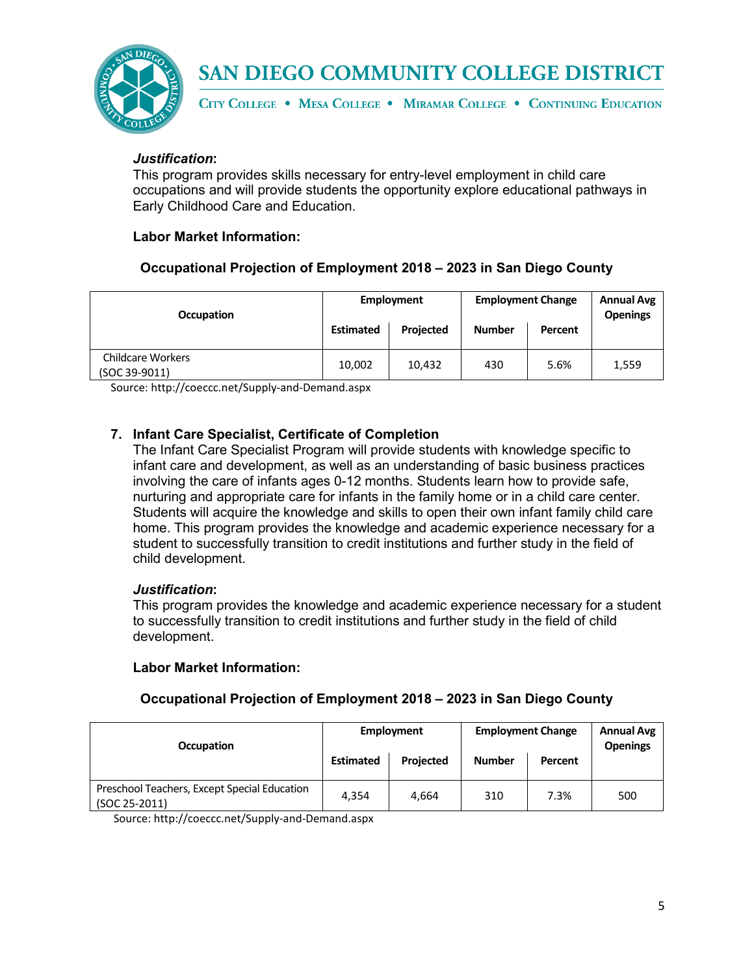

CITY COLLEGE . MESA COLLEGE . MIRAMAR COLLEGE . CONTINUING EDUCATION

## *Justification***:**

This program provides skills necessary for entry-level employment in child care occupations and will provide students the opportunity explore educational pathways in Early Childhood Care and Education.

## **Labor Market Information:**

## **Occupational Projection of Employment 2018 – 2023 in San Diego County**

| <b>Occupation</b>                         |                  | Employment       |                          | <b>Employment Change</b> | <b>Annual Avg</b><br><b>Openings</b> |
|-------------------------------------------|------------------|------------------|--------------------------|--------------------------|--------------------------------------|
|                                           | <b>Estimated</b> | <b>Projected</b> | <b>Number</b><br>Percent |                          |                                      |
| <b>Childcare Workers</b><br>(SOC 39-9011) | 10,002           | 10.432           | 430                      | 5.6%                     | 1,559                                |

Source[: http://coeccc.net/Supply-and-Demand.aspx](http://coeccc.net/Supply-and-Demand.aspx)

## **7. Infant Care Specialist, Certificate of Completion**

The Infant Care Specialist Program will provide students with knowledge specific to infant care and development, as well as an understanding of basic business practices involving the care of infants ages 0-12 months. Students learn how to provide safe, nurturing and appropriate care for infants in the family home or in a child care center. Students will acquire the knowledge and skills to open their own infant family child care home. This program provides the knowledge and academic experience necessary for a student to successfully transition to credit institutions and further study in the field of child development.

## *Justification***:**

This program provides the knowledge and academic experience necessary for a student to successfully transition to credit institutions and further study in the field of child development.

## **Labor Market Information:**

## **Occupational Projection of Employment 2018 – 2023 in San Diego County**

| <b>Occupation</b>                                             |                  | <b>Employment</b> | <b>Employment Change</b> |         | <b>Annual Avg</b><br><b>Openings</b> |
|---------------------------------------------------------------|------------------|-------------------|--------------------------|---------|--------------------------------------|
|                                                               | <b>Estimated</b> | <b>Projected</b>  | <b>Number</b>            | Percent |                                      |
| Preschool Teachers, Except Special Education<br>(SOC 25-2011) | 4.354            | 4.664             | 310                      | 7.3%    | 500                                  |

Source:<http://coeccc.net/Supply-and-Demand.aspx>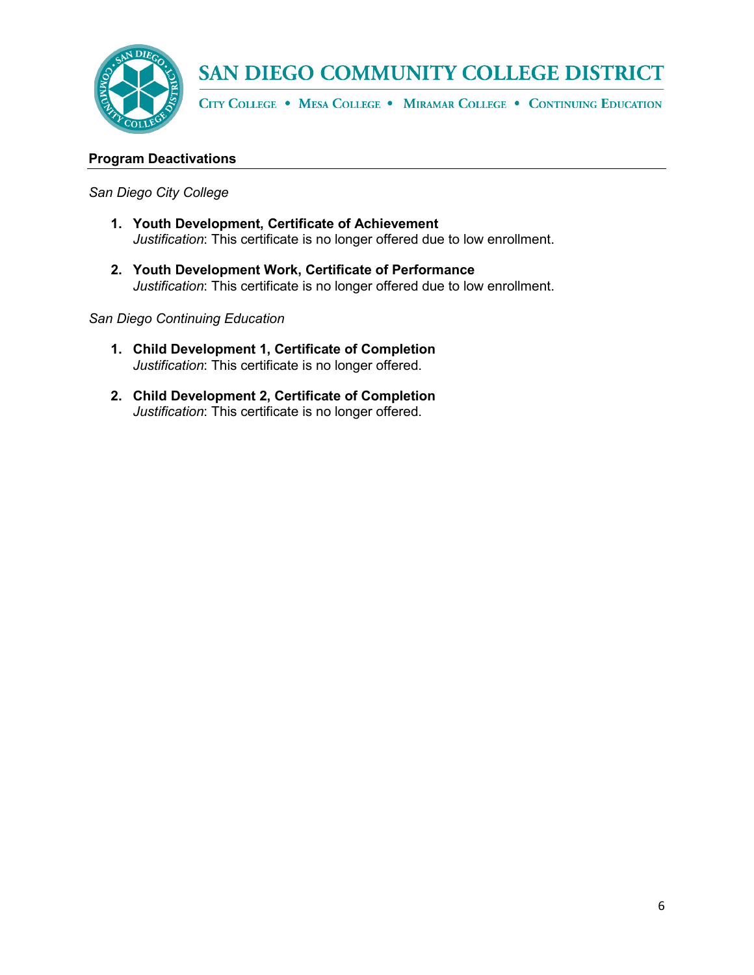

CITY COLLEGE . MESA COLLEGE . MIRAMAR COLLEGE . CONTINUING EDUCATION

## **Program Deactivations**

#### *San Diego City College*

- **1. Youth Development, Certificate of Achievement** *Justification*: This certificate is no longer offered due to low enrollment.
- **2. Youth Development Work, Certificate of Performance**  *Justification*: This certificate is no longer offered due to low enrollment.

#### *San Diego Continuing Education*

- **1. Child Development 1, Certificate of Completion** *Justification*: This certificate is no longer offered.
- **2. Child Development 2, Certificate of Completion** *Justification*: This certificate is no longer offered.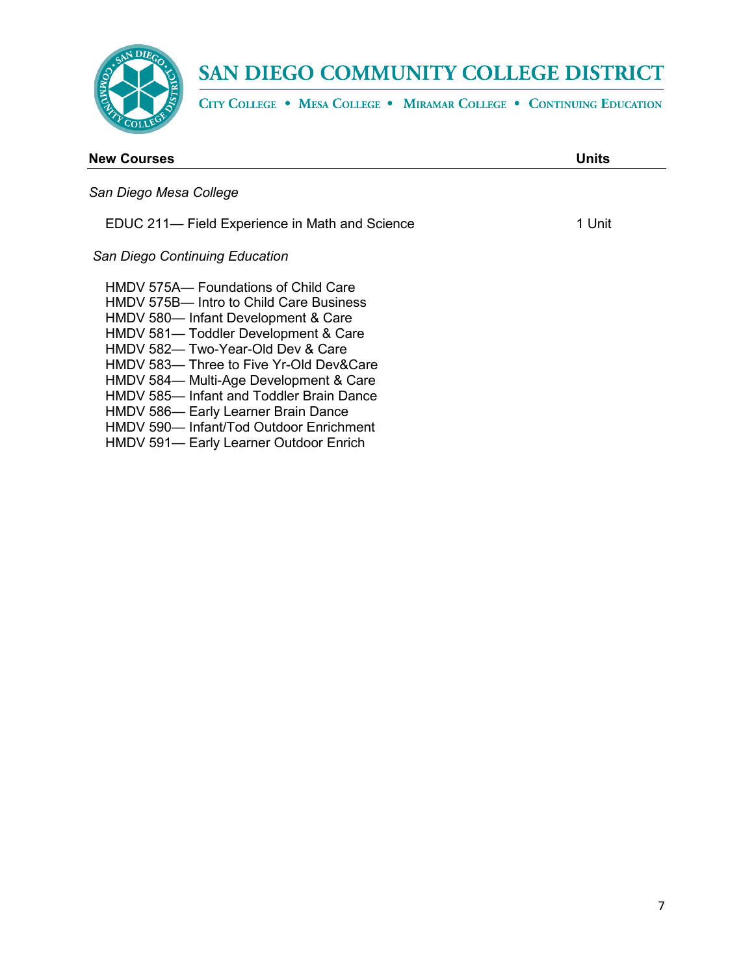

HMDV 591— Early Learner Outdoor Enrich

# SAN DIEGO COMMUNITY COLLEGE DISTRICT

CITY COLLEGE . MESA COLLEGE . MIRAMAR COLLEGE . CONTINUING EDUCATION

| <b>New Courses</b>                                                                                                                                                                                                                                                                                                                                                                                                  | Units  |
|---------------------------------------------------------------------------------------------------------------------------------------------------------------------------------------------------------------------------------------------------------------------------------------------------------------------------------------------------------------------------------------------------------------------|--------|
| San Diego Mesa College                                                                                                                                                                                                                                                                                                                                                                                              |        |
| EDUC 211— Field Experience in Math and Science                                                                                                                                                                                                                                                                                                                                                                      | 1 Unit |
| San Diego Continuing Education                                                                                                                                                                                                                                                                                                                                                                                      |        |
| HMDV 575A— Foundations of Child Care<br>HMDV 575B— Intro to Child Care Business<br>HMDV 580— Infant Development & Care<br>HMDV 581-Toddler Development & Care<br>HMDV 582-Two-Year-Old Dev & Care<br>HMDV 583— Three to Five Yr-Old Dev&Care<br>HMDV 584-Multi-Age Development & Care<br>HMDV 585— Infant and Toddler Brain Dance<br>HMDV 586— Early Learner Brain Dance<br>HMDV 590- Infant/Tod Outdoor Enrichment |        |